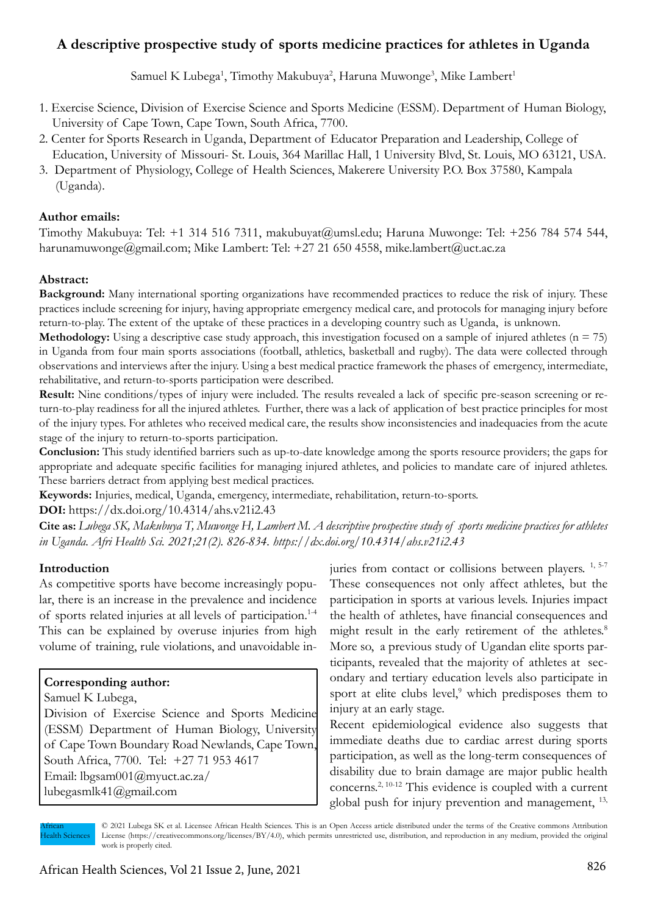# **A descriptive prospective study of sports medicine practices for athletes in Uganda**

Samuel K Lubega<sup>1</sup>, Timothy Makubuya<sup>2</sup>, Haruna Muwonge<sup>3</sup>, Mike Lambert<sup>1</sup>

- 1. Exercise Science, Division of Exercise Science and Sports Medicine (ESSM). Department of Human Biology, University of Cape Town, Cape Town, South Africa, 7700.
- 2. Center for Sports Research in Uganda, Department of Educator Preparation and Leadership, College of Education, University of Missouri- St. Louis, 364 Marillac Hall, 1 University Blvd, St. Louis, MO 63121, USA.
- 3. Department of Physiology, College of Health Sciences, Makerere University P.O. Box 37580, Kampala (Uganda).

### **Author emails:**

Timothy Makubuya: Tel: +1 314 516 7311, makubuyat@umsl.edu; Haruna Muwonge: Tel: +256 784 574 544, harunamuwonge@gmail.com; Mike Lambert: Tel: +27 21 650 4558, mike.lambert@uct.ac.za

#### **Abstract:**

**Background:** Many international sporting organizations have recommended practices to reduce the risk of injury. These practices include screening for injury, having appropriate emergency medical care, and protocols for managing injury before return-to-play. The extent of the uptake of these practices in a developing country such as Uganda, is unknown.

**Methodology:** Using a descriptive case study approach, this investigation focused on a sample of injured athletes  $(n = 75)$ in Uganda from four main sports associations (football, athletics, basketball and rugby). The data were collected through observations and interviews after the injury. Using a best medical practice framework the phases of emergency, intermediate, rehabilitative, and return-to-sports participation were described.

**Result:** Nine conditions/types of injury were included. The results revealed a lack of specific pre-season screening or return-to-play readiness for all the injured athletes. Further, there was a lack of application of best practice principles for most of the injury types. For athletes who received medical care, the results show inconsistencies and inadequacies from the acute stage of the injury to return-to-sports participation.

**Conclusion:** This study identified barriers such as up-to-date knowledge among the sports resource providers; the gaps for appropriate and adequate specific facilities for managing injured athletes, and policies to mandate care of injured athletes. These barriers detract from applying best medical practices.

**Keywords:** Injuries, medical, Uganda, emergency, intermediate, rehabilitation, return-to-sports.

**DOI:** https://dx.doi.org/10.4314/ahs.v21i2.43

**Cite as:** *Lubega SK, Makubuya T, Muwonge H, Lambert M. A descriptive prospective study of sports medicine practices for athletes in Uganda. Afri Health Sci. 2021;21(2). 826-834. https://dx.doi.org/10.4314/ahs.v21i2.43*

#### **Introduction**

As competitive sports have become increasingly popular, there is an increase in the prevalence and incidence of sports related injuries at all levels of participation.1-4 This can be explained by overuse injuries from high volume of training, rule violations, and unavoidable in-

#### **Corresponding author:**

Samuel K Lubega,

Division of Exercise Science and Sports Medicine (ESSM) Department of Human Biology, University of Cape Town Boundary Road Newlands, Cape Town, South Africa, 7700. Tel: +27 71 953 4617

Email: lbgsam001@myuct.ac.za/ lubegasmlk41@gmail.com

juries from contact or collisions between players. <sup>1, 5-7</sup> These consequences not only affect athletes, but the participation in sports at various levels. Injuries impact the health of athletes, have financial consequences and might result in the early retirement of the athletes.<sup>8</sup> More so, a previous study of Ugandan elite sports participants, revealed that the majority of athletes at secondary and tertiary education levels also participate in sport at elite clubs level,<sup>9</sup> which predisposes them to injury at an early stage.

Recent epidemiological evidence also suggests that immediate deaths due to cardiac arrest during sports participation, as well as the long-term consequences of disability due to brain damage are major public health concerns.2, 10-12 This evidence is coupled with a current global push for injury prevention and management, 13,

African Health Sciences

© 2021 Lubega SK et al. Licensee African Health Sciences. This is an Open Access article distributed under the terms of the Creative commons Attribution License (https://creativecommons.org/licenses/BY/4.0), which permits unrestricted use, distribution, and reproduction in any medium, provided the original work is properly cited.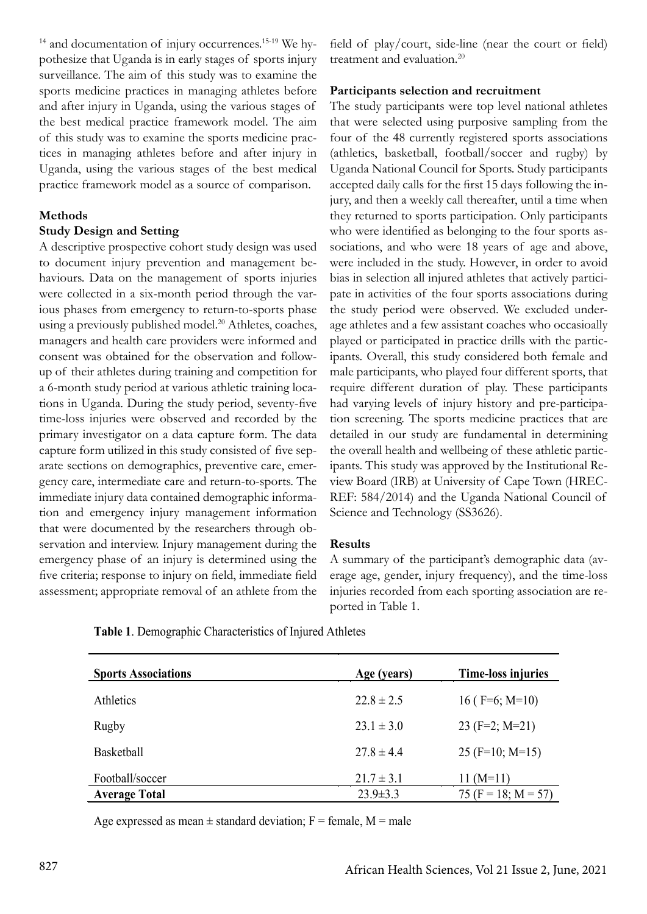$14$  and documentation of injury occurrences.<sup>15-19</sup> We hypothesize that Uganda is in early stages of sports injury surveillance. The aim of this study was to examine the sports medicine practices in managing athletes before and after injury in Uganda, using the various stages of the best medical practice framework model. The aim of this study was to examine the sports medicine practices in managing athletes before and after injury in Uganda, using the various stages of the best medical practice framework model as a source of comparison.

# **Methods**

# **Study Design and Setting**

A descriptive prospective cohort study design was used to document injury prevention and management behaviours. Data on the management of sports injuries were collected in a six-month period through the various phases from emergency to return-to-sports phase using a previously published model.<sup>20</sup> Athletes, coaches, managers and health care providers were informed and consent was obtained for the observation and followup of their athletes during training and competition for a 6-month study period at various athletic training locations in Uganda. During the study period, seventy-five time-loss injuries were observed and recorded by the primary investigator on a data capture form. The data capture form utilized in this study consisted of five separate sections on demographics, preventive care, emergency care, intermediate care and return-to-sports. The immediate injury data contained demographic information and emergency injury management information that were documented by the researchers through observation and interview. Injury management during the emergency phase of an injury is determined using the five criteria; response to injury on field, immediate field assessment; appropriate removal of an athlete from the field of play/court, side-line (near the court or field) treatment and evaluation.<sup>20</sup>

### **Participants selection and recruitment**

The study participants were top level national athletes that were selected using purposive sampling from the four of the 48 currently registered sports associations (athletics, basketball, football/soccer and rugby) by Uganda National Council for Sports. Study participants accepted daily calls for the first 15 days following the injury, and then a weekly call thereafter, until a time when they returned to sports participation. Only participants who were identified as belonging to the four sports associations, and who were 18 years of age and above, were included in the study. However, in order to avoid bias in selection all injured athletes that actively participate in activities of the four sports associations during the study period were observed. We excluded underage athletes and a few assistant coaches who occasioally played or participated in practice drills with the participants. Overall, this study considered both female and male participants, who played four different sports, that require different duration of play. These participants had varying levels of injury history and pre-participation screening. The sports medicine practices that are detailed in our study are fundamental in determining the overall health and wellbeing of these athletic participants. This study was approved by the Institutional Review Board (IRB) at University of Cape Town (HREC-REF: 584/2014) and the Uganda National Council of Science and Technology (SS3626).

### **Results**

A summary of the participant's demographic data (average age, gender, injury frequency), and the time-loss injuries recorded from each sporting association are reported in Table 1.

| <b>Sports Associations</b> | Age (years)    | <b>Time-loss injuries</b> |
|----------------------------|----------------|---------------------------|
| Athletics                  | $22.8 \pm 2.5$ | 16 ( $F=6$ ; M=10)        |
| Rugby                      | $23.1 \pm 3.0$ | $23$ (F=2; M=21)          |
| Basketball                 | $27.8 \pm 4.4$ | $25$ (F=10; M=15)         |
| Football/soccer            | $21.7 \pm 3.1$ | 11 $(M=11)$               |
| <b>Average Total</b>       | $23.9 \pm 3.3$ | 75 (F = 18; M = 57)       |

**Table 1**. Demographic Characteristics of Injured Athletes

Age expressed as mean  $\pm$  standard deviation; F = female, M = male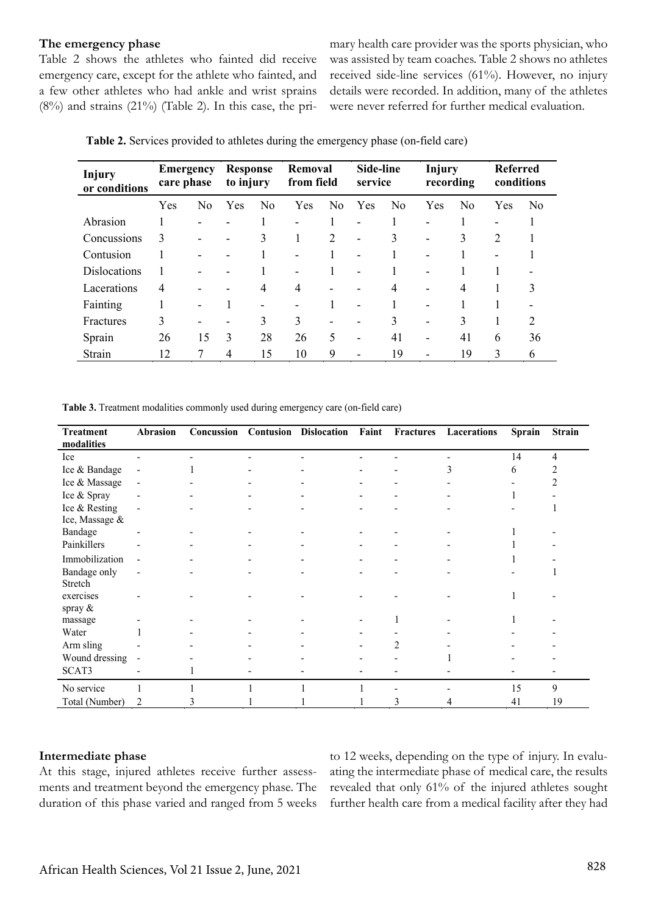#### **The emergency phase**

Table 2 shows the athletes who fainted did receive emergency care, except for the athlete who fainted, and a few other athletes who had ankle and wrist sprains  $(8\%)$  and strains  $(21\%)$  (Table 2). In this case, the primary health care provider was the sports physician, who was assisted by team coaches. Table 2 shows no athletes received side-line services (61%). However, no injury details were recorded. In addition, many of the athletes were never referred for further medical evaluation.

|  |  | Table 2. Services provided to athletes during the emergency phase (on-field care) |  |
|--|--|-----------------------------------------------------------------------------------|--|
|--|--|-----------------------------------------------------------------------------------|--|

| <b>Injury</b><br>or conditions | Emergency<br>care phase |                 | <b>Response</b><br>to injury |                | Removal<br>from field |                          | Side-line<br>service     |                | <b>Injury</b><br>recording |                | <b>Referred</b><br>conditions |                |
|--------------------------------|-------------------------|-----------------|------------------------------|----------------|-----------------------|--------------------------|--------------------------|----------------|----------------------------|----------------|-------------------------------|----------------|
|                                | Yes                     | N <sub>0</sub>  | Yes                          | N <sub>0</sub> | Yes                   | N <sub>0</sub>           | Yes                      | N <sub>0</sub> | Yes                        | No             | Yes                           | N <sub>0</sub> |
| Abrasion                       |                         | -               |                              |                | ۰                     |                          | $\overline{\phantom{0}}$ |                | $\overline{\phantom{a}}$   |                | $\overline{\phantom{a}}$      |                |
| Concussions                    | 3                       |                 |                              | 3              | 1                     | 2                        | ۰                        | 3              | $\overline{\phantom{a}}$   | 3              | 2                             |                |
| Contusion                      |                         | -               |                              |                | -                     |                          |                          |                | ٠                          |                | $\overline{\phantom{a}}$      |                |
| <b>Dislocations</b>            |                         | -               |                              |                |                       |                          | $\overline{\phantom{0}}$ |                | $\overline{\phantom{0}}$   |                |                               |                |
| Lacerations                    | 4                       |                 |                              | 4              | 4                     |                          |                          | 4              | ٠                          | $\overline{4}$ |                               | 3              |
| Fainting                       |                         | $\qquad \qquad$ |                              | -              |                       |                          |                          |                | $\overline{\phantom{0}}$   |                |                               |                |
| Fractures                      | 3                       | -               |                              | 3              | 3                     | $\overline{\phantom{0}}$ |                          | 3              | ٠                          | 3              |                               | $\overline{2}$ |
| Sprain                         | 26                      | 15              | 3                            | 28             | 26                    | 5                        | ۰                        | 41             | ۰                          | 41             | 6                             | 36             |
| Strain                         | 12                      | 7               | 4                            | 15             | 10                    | 9                        | ۰                        | 19             | ٠                          | 19             | 3                             | 6              |

**Table 3.** Treatment modalities commonly used during emergency care (on-field care)

| <b>Treatment</b><br>modalities | Abrasion                 | Concussion | <b>Contusion Dislocation</b> | Faint | Fractures | Lacerations | <b>Sprain</b> | <b>Strain</b> |
|--------------------------------|--------------------------|------------|------------------------------|-------|-----------|-------------|---------------|---------------|
| Ice                            |                          |            |                              |       |           |             | 14            | 4             |
| Ice & Bandage                  | $\qquad \qquad$          |            |                              |       |           | f.          | 6             |               |
| Ice & Massage                  | $\blacksquare$           |            |                              |       |           |             |               |               |
| Ice & Spray                    |                          |            |                              |       |           |             |               |               |
| Ice & Resting                  | $\blacksquare$           |            |                              |       |           |             |               |               |
| Ice, Massage &                 |                          |            |                              |       |           |             |               |               |
| Bandage                        |                          |            |                              |       |           |             |               |               |
| Painkillers                    |                          |            |                              |       |           |             |               |               |
| Immobilization                 |                          |            |                              |       |           |             |               |               |
| Bandage only                   | $\overline{\phantom{a}}$ |            |                              |       |           |             |               |               |
| Stretch                        |                          |            |                              |       |           |             |               |               |
| exercises                      |                          |            |                              |       |           |             |               |               |
| spray &                        |                          |            |                              |       |           |             |               |               |
| massage                        |                          |            |                              |       |           |             |               |               |
| Water                          |                          |            |                              |       |           |             |               |               |
| Arm sling                      |                          |            |                              |       | 2         |             |               |               |
| Wound dressing                 | $\overline{\phantom{a}}$ |            |                              |       |           |             |               |               |
| SCAT3                          |                          |            |                              |       |           |             |               |               |
| No service                     |                          |            |                              |       |           |             | 15            | 9             |
| Total (Number)                 | 2                        |            |                              |       | 3         |             | 41            | 19            |

#### **Intermediate phase**

At this stage, injured athletes receive further assessments and treatment beyond the emergency phase. The duration of this phase varied and ranged from 5 weeks

to 12 weeks, depending on the type of injury. In evaluating the intermediate phase of medical care, the results revealed that only 61% of the injured athletes sought further health care from a medical facility after they had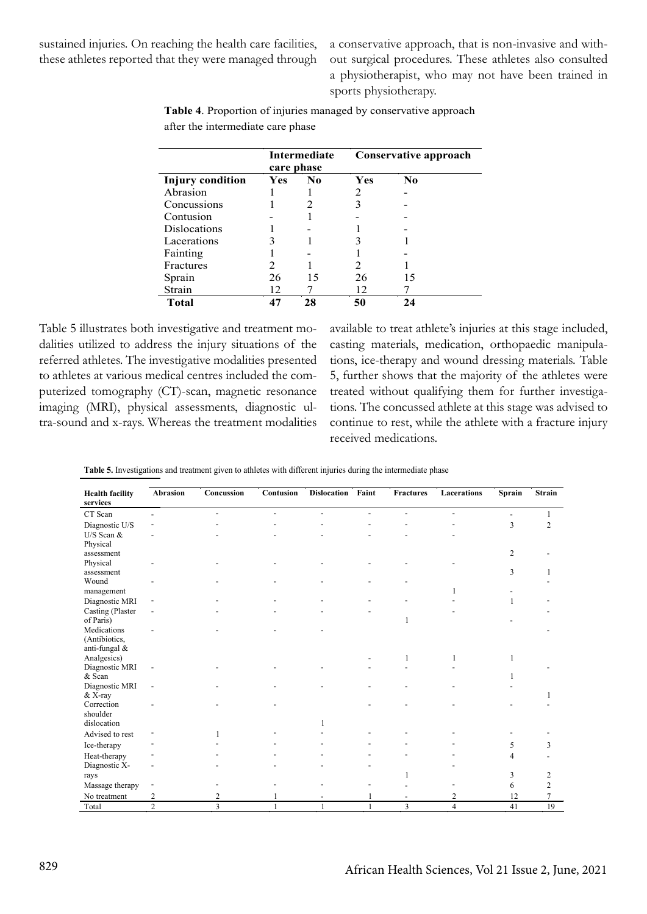sustained injuries. On reaching the health care facilities, these athletes reported that they were managed through a conservative approach, that is non-invasive and without surgical procedures. These athletes also consulted a physiotherapist, who may not have been trained in sports physiotherapy.

**Table 4**. Proportion of injuries managed by conservative approach after the intermediate care phase

|                         |            | Intermediate<br>care phase | Conservative approach |                |  |  |
|-------------------------|------------|----------------------------|-----------------------|----------------|--|--|
| <b>Injury condition</b> | <b>Yes</b> | No.                        | Yes                   | N <sub>0</sub> |  |  |
| Abrasion                |            |                            | 2                     |                |  |  |
| Concussions             |            |                            | 3                     |                |  |  |
| Contusion               |            |                            |                       |                |  |  |
| <b>Dislocations</b>     |            |                            |                       |                |  |  |
| Lacerations             |            |                            |                       |                |  |  |
| Fainting                |            |                            |                       |                |  |  |
| Fractures               | 2          |                            | 2                     |                |  |  |
| Sprain                  | 26         | 15                         | 26                    | 15             |  |  |
| Strain                  | 12         |                            | 12                    |                |  |  |
| <b>Total</b>            | 47         | 28                         | 50                    | 24             |  |  |

Table 5 illustrates both investigative and treatment modalities utilized to address the injury situations of the referred athletes. The investigative modalities presented to athletes at various medical centres included the computerized tomography (CT)-scan, magnetic resonance imaging (MRI), physical assessments, diagnostic ultra-sound and x-rays. Whereas the treatment modalities

available to treat athlete's injuries at this stage included, casting materials, medication, orthopaedic manipulations, ice-therapy and wound dressing materials. Table 5, further shows that the majority of the athletes were treated without qualifying them for further investigations. The concussed athlete at this stage was advised to continue to rest, while the athlete with a fracture injury received medications.

|  | Table 5. Investigations and treatment given to athletes with different injuries during the intermediate phase |  |  |
|--|---------------------------------------------------------------------------------------------------------------|--|--|
|  |                                                                                                               |  |  |
|  |                                                                                                               |  |  |

| <b>Health facility</b><br>services | Abrasion                 | Concussion              | Contusion | <b>Dislocation</b> | Faint          | Fractures | Lacerations    | Sprain         | <b>Strain</b>  |
|------------------------------------|--------------------------|-------------------------|-----------|--------------------|----------------|-----------|----------------|----------------|----------------|
| CT Scan                            |                          | $\overline{a}$          | ۰         | $\overline{a}$     | $\overline{a}$ |           | $\overline{a}$ |                |                |
| Diagnostic U/S                     |                          |                         |           |                    |                |           |                | 3              | $\overline{2}$ |
| U/S Scan $&$                       |                          |                         |           |                    |                |           |                |                |                |
| Physical                           |                          |                         |           |                    |                |           |                |                |                |
| assessment                         |                          |                         |           |                    |                |           |                | $\overline{2}$ |                |
| Physical                           |                          |                         |           |                    |                |           |                |                |                |
| assessment                         |                          |                         |           |                    |                |           |                | 3              |                |
| Wound                              |                          |                         |           |                    |                |           |                |                |                |
| management                         |                          |                         |           |                    |                |           |                |                |                |
| Diagnostic MRI                     |                          |                         |           |                    |                |           |                | 1              |                |
| Casting (Plaster                   |                          |                         |           |                    |                |           |                |                |                |
| of Paris)                          |                          |                         |           |                    |                |           |                |                |                |
| Medications                        |                          |                         |           |                    |                |           |                |                |                |
| (Antibiotics,                      |                          |                         |           |                    |                |           |                |                |                |
| anti-fungal $&$                    |                          |                         |           |                    |                |           |                |                |                |
| Analgesics)                        |                          |                         |           |                    |                |           | 1              |                |                |
| Diagnostic MRI                     | $\overline{\phantom{a}}$ |                         |           |                    |                |           |                |                |                |
| & Scan                             |                          |                         |           |                    |                |           |                |                |                |
| Diagnostic MRI                     | $\overline{\phantom{a}}$ |                         |           |                    |                |           |                |                |                |
| & X-ray<br>Correction              |                          |                         |           |                    |                |           |                |                |                |
| shoulder                           |                          |                         |           |                    |                |           |                |                |                |
| dislocation                        |                          |                         |           |                    |                |           |                |                |                |
| Advised to rest                    |                          |                         |           |                    |                |           |                |                |                |
|                                    |                          |                         |           |                    |                |           |                |                |                |
| Ice-therapy                        |                          |                         |           |                    |                |           |                | 5              | 3              |
| Heat-therapy                       |                          |                         |           |                    |                |           |                | 4              |                |
| Diagnostic X-                      |                          |                         |           |                    |                |           |                |                |                |
| rays                               |                          |                         |           |                    |                |           |                | 3              | 2              |
| Massage therapy                    |                          |                         |           |                    |                |           |                | 6              | 2              |
| No treatment                       | 2                        | 2                       |           |                    |                |           | 2              | 12             | 7              |
| Total                              | $\overline{2}$           | $\overline{\mathbf{3}}$ |           |                    | 1              | 3         | $\overline{4}$ | 41             | 19             |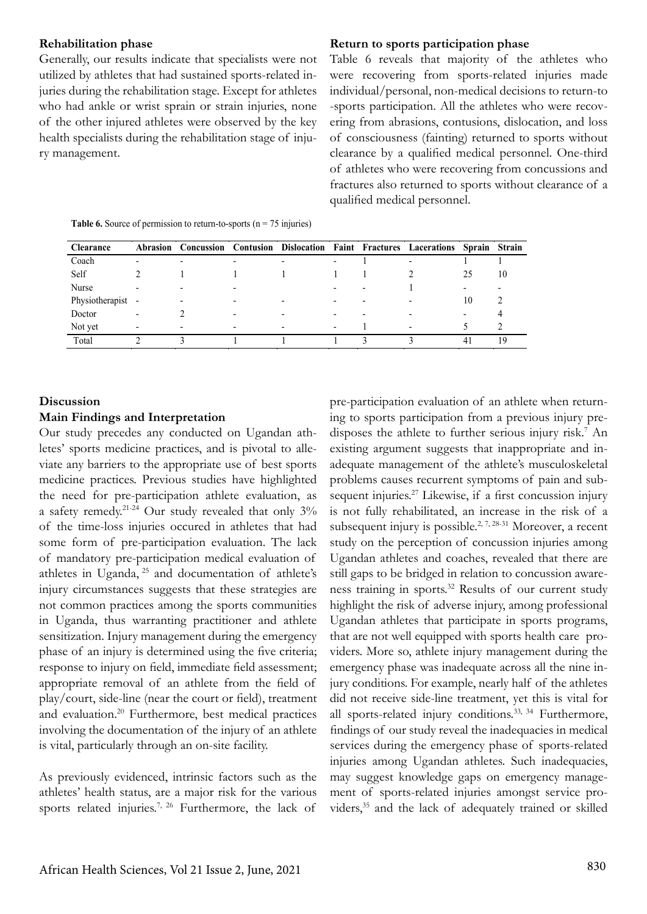#### **Rehabilitation phase**

Generally, our results indicate that specialists were not utilized by athletes that had sustained sports-related injuries during the rehabilitation stage. Except for athletes who had ankle or wrist sprain or strain injuries, none of the other injured athletes were observed by the key health specialists during the rehabilitation stage of injury management.

#### **Return to sports participation phase**

Table 6 reveals that majority of the athletes who were recovering from sports-related injuries made individual/personal, non-medical decisions to return-to -sports participation. All the athletes who were recovering from abrasions, contusions, dislocation, and loss of consciousness (fainting) returned to sports without clearance by a qualified medical personnel. One-third of athletes who were recovering from concussions and fractures also returned to sports without clearance of a qualified medical personnel.

**Table 6.** Source of permission to return-to-sports ( $n = 75$  injuries)

| <b>Clearance</b>  | <b>Abrasion</b>          | Concussion |   |                          | <b>Contusion Dislocation Faint Fractures Lacerations</b> | Sprain Strain  |    |
|-------------------|--------------------------|------------|---|--------------------------|----------------------------------------------------------|----------------|----|
| Coach             | ۰                        | ۰          |   | -                        |                                                          |                |    |
| Self              |                          |            |   |                          |                                                          | 25             | 10 |
| Nurse             | ۰                        |            |   | -                        |                                                          | ۰              |    |
| Physiotherapist - |                          |            | - | $\overline{\phantom{a}}$ |                                                          | 10             |    |
| Doctor            | $\overline{\phantom{0}}$ |            | - | $\overline{\phantom{a}}$ |                                                          | -              |    |
| Not yet           | $\overline{\phantom{0}}$ |            | - | $\overline{\phantom{a}}$ |                                                          |                |    |
| Total             |                          |            |   |                          |                                                          | $\overline{4}$ | 19 |

### **Discussion**

#### **Main Findings and Interpretation**

Our study precedes any conducted on Ugandan athletes' sports medicine practices, and is pivotal to alleviate any barriers to the appropriate use of best sports medicine practices. Previous studies have highlighted the need for pre-participation athlete evaluation, as a safety remedy.21-24 Our study revealed that only 3% of the time-loss injuries occured in athletes that had some form of pre-participation evaluation. The lack of mandatory pre-participation medical evaluation of athletes in Uganda, 25 and documentation of athlete's injury circumstances suggests that these strategies are not common practices among the sports communities in Uganda, thus warranting practitioner and athlete sensitization. Injury management during the emergency phase of an injury is determined using the five criteria; response to injury on field, immediate field assessment; appropriate removal of an athlete from the field of play/court, side-line (near the court or field), treatment and evaluation.20 Furthermore, best medical practices involving the documentation of the injury of an athlete is vital, particularly through an on-site facility.

As previously evidenced, intrinsic factors such as the athletes' health status, are a major risk for the various sports related injuries.<sup>7, 26</sup> Furthermore, the lack of

pre-participation evaluation of an athlete when returning to sports participation from a previous injury predisposes the athlete to further serious injury risk.<sup>7</sup> An existing argument suggests that inappropriate and inadequate management of the athlete's musculoskeletal problems causes recurrent symptoms of pain and subsequent injuries.<sup>27</sup> Likewise, if a first concussion injury is not fully rehabilitated, an increase in the risk of a subsequent injury is possible.<sup>2, 7, 28-31</sup> Moreover, a recent study on the perception of concussion injuries among Ugandan athletes and coaches, revealed that there are still gaps to be bridged in relation to concussion awareness training in sports.32 Results of our current study highlight the risk of adverse injury, among professional Ugandan athletes that participate in sports programs, that are not well equipped with sports health care providers. More so, athlete injury management during the emergency phase was inadequate across all the nine injury conditions. For example, nearly half of the athletes did not receive side-line treatment, yet this is vital for all sports-related injury conditions.<sup>33, 34</sup> Furthermore, findings of our study reveal the inadequacies in medical services during the emergency phase of sports-related injuries among Ugandan athletes. Such inadequacies, may suggest knowledge gaps on emergency management of sports-related injuries amongst service providers,35 and the lack of adequately trained or skilled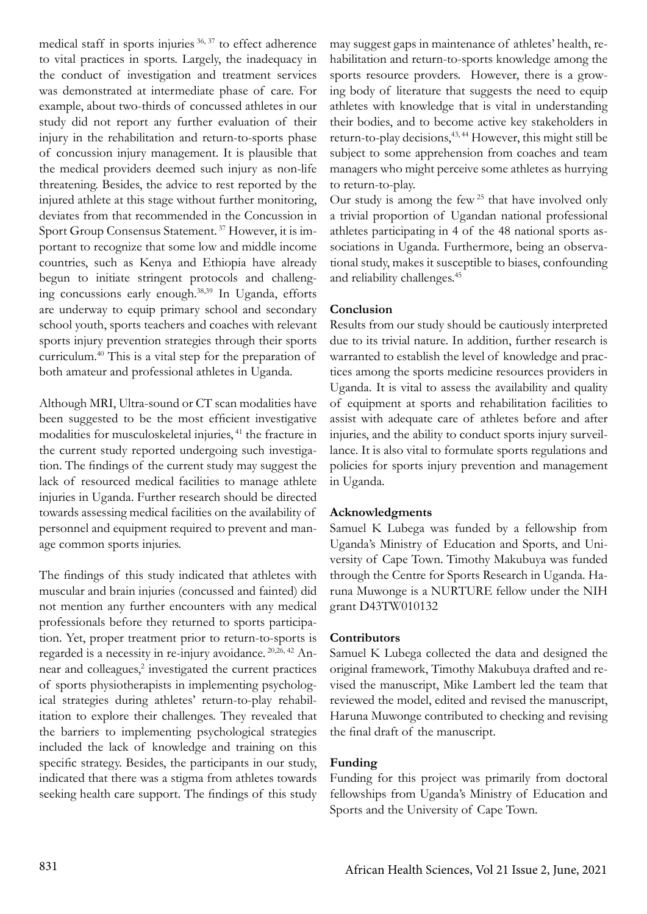medical staff in sports injuries 36, 37 to effect adherence to vital practices in sports. Largely, the inadequacy in the conduct of investigation and treatment services was demonstrated at intermediate phase of care. For example, about two-thirds of concussed athletes in our study did not report any further evaluation of their injury in the rehabilitation and return-to-sports phase of concussion injury management. It is plausible that the medical providers deemed such injury as non-life threatening. Besides, the advice to rest reported by the injured athlete at this stage without further monitoring, deviates from that recommended in the Concussion in Sport Group Consensus Statement. 37 However, it is important to recognize that some low and middle income countries, such as Kenya and Ethiopia have already begun to initiate stringent protocols and challenging concussions early enough.38,39 In Uganda, efforts are underway to equip primary school and secondary school youth, sports teachers and coaches with relevant sports injury prevention strategies through their sports curriculum.40 This is a vital step for the preparation of both amateur and professional athletes in Uganda.

Although MRI, Ultra-sound or CT scan modalities have been suggested to be the most efficient investigative modalities for musculoskeletal injuries, 41 the fracture in the current study reported undergoing such investigation. The findings of the current study may suggest the lack of resourced medical facilities to manage athlete injuries in Uganda. Further research should be directed towards assessing medical facilities on the availability of personnel and equipment required to prevent and manage common sports injuries.

The findings of this study indicated that athletes with muscular and brain injuries (concussed and fainted) did not mention any further encounters with any medical professionals before they returned to sports participation. Yet, proper treatment prior to return-to-sports is regarded is a necessity in re-injury avoidance. 20,26, 42 Annear and colleagues,<sup>2</sup> investigated the current practices of sports physiotherapists in implementing psychological strategies during athletes' return-to-play rehabilitation to explore their challenges. They revealed that the barriers to implementing psychological strategies included the lack of knowledge and training on this specific strategy. Besides, the participants in our study, indicated that there was a stigma from athletes towards seeking health care support. The findings of this study

may suggest gaps in maintenance of athletes' health, rehabilitation and return-to-sports knowledge among the sports resource provders. However, there is a growing body of literature that suggests the need to equip athletes with knowledge that is vital in understanding their bodies, and to become active key stakeholders in return-to-play decisions,<sup>43,44</sup> However, this might still be subject to some apprehension from coaches and team managers who might perceive some athletes as hurrying to return-to-play.

Our study is among the few  $25$  that have involved only a trivial proportion of Ugandan national professional athletes participating in 4 of the 48 national sports associations in Uganda. Furthermore, being an observational study, makes it susceptible to biases, confounding and reliability challenges.45

# **Conclusion**

Results from our study should be cautiously interpreted due to its trivial nature. In addition, further research is warranted to establish the level of knowledge and practices among the sports medicine resources providers in Uganda. It is vital to assess the availability and quality of equipment at sports and rehabilitation facilities to assist with adequate care of athletes before and after injuries, and the ability to conduct sports injury surveillance. It is also vital to formulate sports regulations and policies for sports injury prevention and management in Uganda.

#### **Acknowledgments**

Samuel K Lubega was funded by a fellowship from Uganda's Ministry of Education and Sports, and University of Cape Town. Timothy Makubuya was funded through the Centre for Sports Research in Uganda. Haruna Muwonge is a NURTURE fellow under the NIH grant D43TW010132

#### **Contributors**

Samuel K Lubega collected the data and designed the original framework, Timothy Makubuya drafted and revised the manuscript, Mike Lambert led the team that reviewed the model, edited and revised the manuscript, Haruna Muwonge contributed to checking and revising the final draft of the manuscript.

### **Funding**

Funding for this project was primarily from doctoral fellowships from Uganda's Ministry of Education and Sports and the University of Cape Town.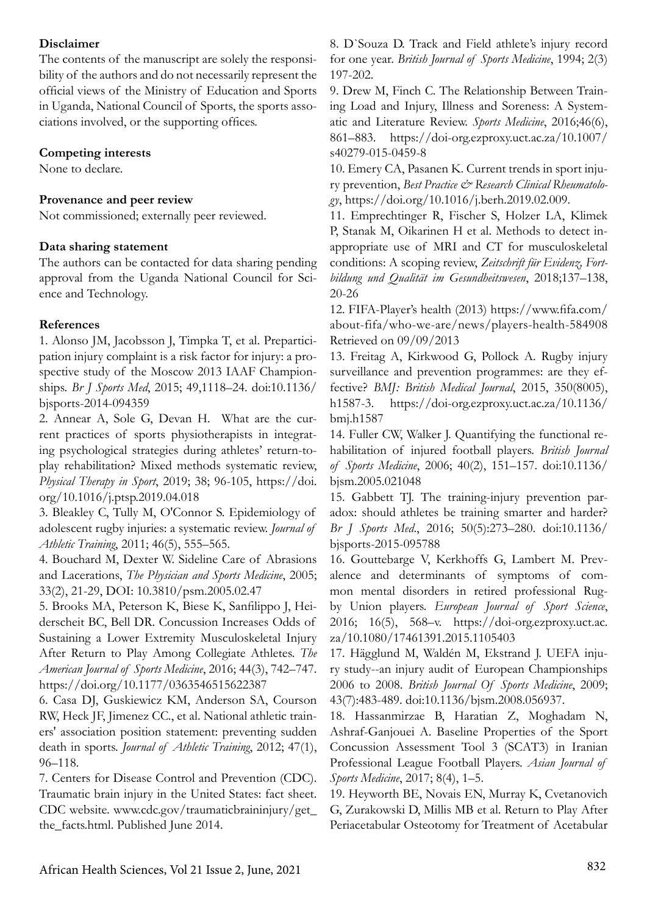# **Disclaimer**

The contents of the manuscript are solely the responsibility of the authors and do not necessarily represent the official views of the Ministry of Education and Sports in Uganda, National Council of Sports, the sports associations involved, or the supporting offices.

# **Competing interests**

None to declare.

# **Provenance and peer review**

Not commissioned; externally peer reviewed.

### **Data sharing statement**

The authors can be contacted for data sharing pending approval from the Uganda National Council for Science and Technology.

# **References**

1. Alonso JM, Jacobsson J, Timpka T, et al. Preparticipation injury complaint is a risk factor for injury: a prospective study of the Moscow 2013 IAAF Championships. *Br J Sports Med*, 2015; 49,1118–24. doi:10.1136/ bjsports-2014-094359

2. Annear A, Sole G, Devan H. What are the current practices of sports physiotherapists in integrating psychological strategies during athletes' return-toplay rehabilitation? Mixed methods systematic review, *Physical Therapy in Sport*, 2019; 38; 96-105, https://doi. org/10.1016/j.ptsp.2019.04.018

3. Bleakley C, Tully M, O'Connor S. Epidemiology of adolescent rugby injuries: a systematic review. *Journal of Athletic Training*, 2011; 46(5), 555–565.

4. Bouchard M, Dexter W. Sideline Care of Abrasions and Lacerations, *The Physician and Sports Medicine*, 2005; 33(2), 21-29, DOI: 10.3810/psm.2005.02.47

5. Brooks MA, Peterson K, Biese K, Sanfilippo J, Heiderscheit BC, Bell DR. Concussion Increases Odds of Sustaining a Lower Extremity Musculoskeletal Injury After Return to Play Among Collegiate Athletes. *The American Journal of Sports Medicine*, 2016; 44(3), 742–747. https://doi.org/10.1177/0363546515622387

6. Casa DJ, Guskiewicz KM, Anderson SA, Courson RW, Heck JF, Jimenez CC., et al. National athletic trainers' association position statement: preventing sudden death in sports. *Journal of Athletic Training*, 2012; 47(1), 96–118.

7. Centers for Disease Control and Prevention (CDC). Traumatic brain injury in the United States: fact sheet. CDC website. www.cdc.gov/traumaticbraininjury/get\_ the\_facts.html. Published June 2014.

8. D`Souza D. Track and Field athlete's injury record for one year. *British Journal of Sports Medicine*, 1994; 2(3) 197-202.

9. Drew M, Finch C. The Relationship Between Training Load and Injury, Illness and Soreness: A Systematic and Literature Review. *Sports Medicine*, 2016;46(6), 861–883. https://doi-org.ezproxy.uct.ac.za/10.1007/ s40279-015-0459-8

10. Emery CA, Pasanen K. Current trends in sport injury prevention, *Best Practice* & Research Clinical Rheumatolo*gy*, https://doi.org/10.1016/j.berh.2019.02.009.

11. Emprechtinger R, Fischer S, Holzer LA, Klimek P, Stanak M, Oikarinen H et al. Methods to detect inappropriate use of MRI and CT for musculoskeletal conditions: A scoping review, *Zeitschrift für Evidenz, Fortbildung und Qualität im Gesundheitswesen*, 2018;137–138, 20-26

12. FIFA-Player's health (2013) https://www.fifa.com/ about-fifa/who-we-are/news/players-health-584908 Retrieved on 09/09/2013

13. Freitag A, Kirkwood G, Pollock A. Rugby injury surveillance and prevention programmes: are they effective? *BMJ: British Medical Journal*, 2015, 350(8005), h1587-3. https://doi-org.ezproxy.uct.ac.za/10.1136/ bmj.h1587

14. Fuller CW, Walker J. Quantifying the functional rehabilitation of injured football players. *British Journal of Sports Medicine*, 2006; 40(2), 151–157. doi:10.1136/ bjsm.2005.021048

15. Gabbett TJ. The training-injury prevention paradox: should athletes be training smarter and harder? *Br J Sports Med*., 2016; 50(5):273–280. doi:10.1136/ bjsports-2015-095788

16. Gouttebarge V, Kerkhoffs G, Lambert M. Prevalence and determinants of symptoms of common mental disorders in retired professional Rugby Union players. *European Journal of Sport Science*, 2016; 16(5), 568–v. https://doi-org.ezproxy.uct.ac. za/10.1080/17461391.2015.1105403

17. Hägglund M, Waldén M, Ekstrand J. UEFA injury study--an injury audit of European Championships 2006 to 2008. *British Journal Of Sports Medicine*, 2009; 43(7):483-489. doi:10.1136/bjsm.2008.056937.

18. Hassanmirzae B, Haratian Z, Moghadam N, Ashraf-Ganjouei A. Baseline Properties of the Sport Concussion Assessment Tool 3 (SCAT3) in Iranian Professional League Football Players. *Asian Journal of Sports Medicine*, 2017; 8(4), 1–5.

19. Heyworth BE, Novais EN, Murray K, Cvetanovich G, Zurakowski D, Millis MB et al. Return to Play After Periacetabular Osteotomy for Treatment of Acetabular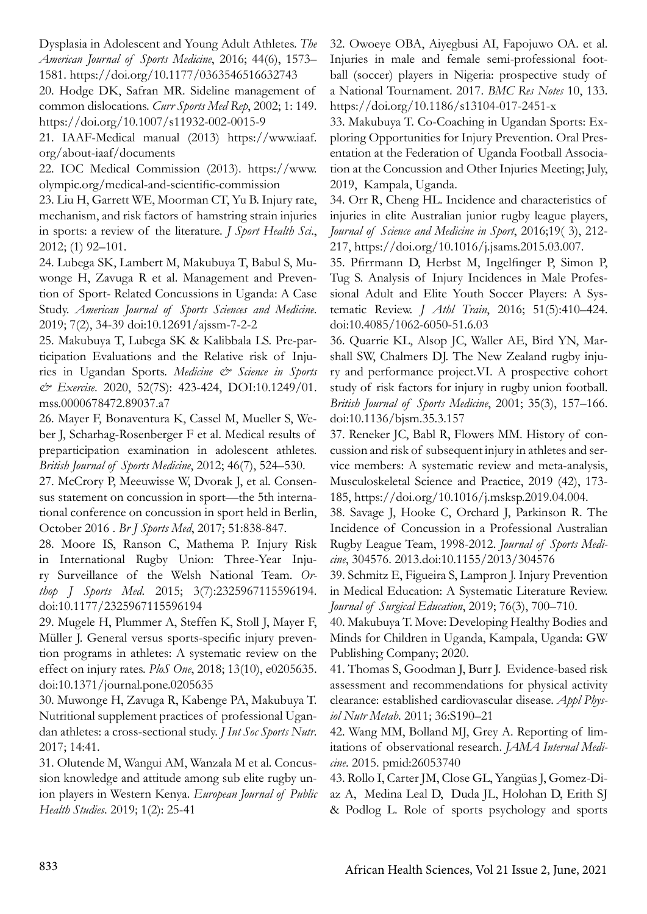Dysplasia in Adolescent and Young Adult Athletes. *The American Journal of Sports Medicine*, 2016; 44(6), 1573– 1581. https://doi.org/10.1177/0363546516632743

20. Hodge DK, Safran MR. Sideline management of common dislocations. *Curr Sports Med Rep*, 2002; 1: 149. https://doi.org/10.1007/s11932-002-0015-9

21. IAAF-Medical manual (2013) https://www.iaaf. org/about-iaaf/documents

22. IOC Medical Commission (2013). https://www. olympic.org/medical-and-scientific-commission

23. Liu H, Garrett WE, Moorman CT, Yu B. Injury rate, mechanism, and risk factors of hamstring strain injuries in sports: a review of the literature. *J Sport Health Sci*., 2012; (1) 92–101.

24. Lubega SK, Lambert M, Makubuya T, Babul S, Muwonge H, Zavuga R et al. Management and Prevention of Sport- Related Concussions in Uganda: A Case Study. *American Journal of Sports Sciences and Medicine*. 2019; 7(2), 34-39 doi:10.12691/ajssm-7-2-2

25. Makubuya T, Lubega SK & Kalibbala LS. Pre-participation Evaluations and the Relative risk of Injuries in Ugandan Sports. *Medicine & Science in Sports & Exercise*. 2020, 52(7S): 423-424, DOI:10.1249/01. mss.0000678472.89037.a7

26. Mayer F, Bonaventura K, Cassel M, Mueller S, Weber J, Scharhag-Rosenberger F et al. Medical results of preparticipation examination in adolescent athletes. *British Journal of Sports Medicine*, 2012; 46(7), 524–530.

27. McCrory P, Meeuwisse W, Dvorak J, et al. Consensus statement on concussion in sport—the 5th international conference on concussion in sport held in Berlin, October 2016 . *Br J Sports Med*, 2017; 51:838-847.

28. Moore IS, Ranson C, Mathema P. Injury Risk in International Rugby Union: Three-Year Injury Surveillance of the Welsh National Team. *Orthop J Sports Med*. 2015; 3(7):2325967115596194. doi:10.1177/2325967115596194

29. Mugele H, Plummer A, Steffen K, Stoll J, Mayer F, Müller J. General versus sports-specific injury prevention programs in athletes: A systematic review on the effect on injury rates. *PloS One*, 2018; 13(10), e0205635. doi:10.1371/journal.pone.0205635

30. Muwonge H, Zavuga R, Kabenge PA, Makubuya T. Nutritional supplement practices of professional Ugandan athletes: a cross-sectional study. *J Int Soc Sports Nutr*. 2017; 14:41.

31. Olutende M, Wangui AM, Wanzala M et al. Concussion knowledge and attitude among sub elite rugby union players in Western Kenya. *European Journal of Public Health Studies*. 2019; 1(2): 25-41

32. Owoeye OBA, Aiyegbusi AI, Fapojuwo OA. et al. Injuries in male and female semi-professional football (soccer) players in Nigeria: prospective study of a National Tournament. 2017. *BMC Res Notes* 10, 133. https://doi.org/10.1186/s13104-017-2451-x

33. Makubuya T. Co-Coaching in Ugandan Sports: Exploring Opportunities for Injury Prevention. Oral Presentation at the Federation of Uganda Football Association at the Concussion and Other Injuries Meeting; July, 2019, Kampala, Uganda.

34. Orr R, Cheng HL. Incidence and characteristics of injuries in elite Australian junior rugby league players, *Journal of Science and Medicine in Sport*, 2016;19( 3), 212- 217, https://doi.org/10.1016/j.jsams.2015.03.007.

35. Pfirrmann D, Herbst M, Ingelfinger P, Simon P, Tug S. Analysis of Injury Incidences in Male Professional Adult and Elite Youth Soccer Players: A Systematic Review. *J Athl Train*, 2016; 51(5):410–424. doi:10.4085/1062-6050-51.6.03

36. Quarrie KL, Alsop JC, Waller AE, Bird YN, Marshall SW, Chalmers DJ. The New Zealand rugby injury and performance project.VI. A prospective cohort study of risk factors for injury in rugby union football. *British Journal of Sports Medicine*, 2001; 35(3), 157–166. doi:10.1136/bjsm.35.3.157

37. Reneker JC, Babl R, Flowers MM. History of concussion and risk of subsequent injury in athletes and service members: A systematic review and meta-analysis, Musculoskeletal Science and Practice, 2019 (42), 173- 185, https://doi.org/10.1016/j.msksp.2019.04.004.

38. Savage J, Hooke C, Orchard J, Parkinson R. The Incidence of Concussion in a Professional Australian Rugby League Team, 1998-2012. *Journal of Sports Medicine*, 304576. 2013.doi:10.1155/2013/304576

39. Schmitz E, Figueira S, Lampron J. Injury Prevention in Medical Education: A Systematic Literature Review. *Journal of Surgical Education*, 2019; 76(3), 700–710.

40. Makubuya T. Move: Developing Healthy Bodies and Minds for Children in Uganda, Kampala, Uganda: GW Publishing Company; 2020.

41. Thomas S, Goodman J, Burr J. Evidence-based risk assessment and recommendations for physical activity clearance: established cardiovascular disease. *Appl Physiol Nutr Metab*. 2011; 36:S190–21

42. Wang MM, Bolland MJ, Grey A. Reporting of limitations of observational research. *JAMA Internal Medicine*. 2015. pmid:26053740

43. Rollo I, Carter JM, Close GL, Yangüas J, Gomez-Diaz A, Medina Leal D, Duda JL, Holohan D, Erith SJ & Podlog L. Role of sports psychology and sports